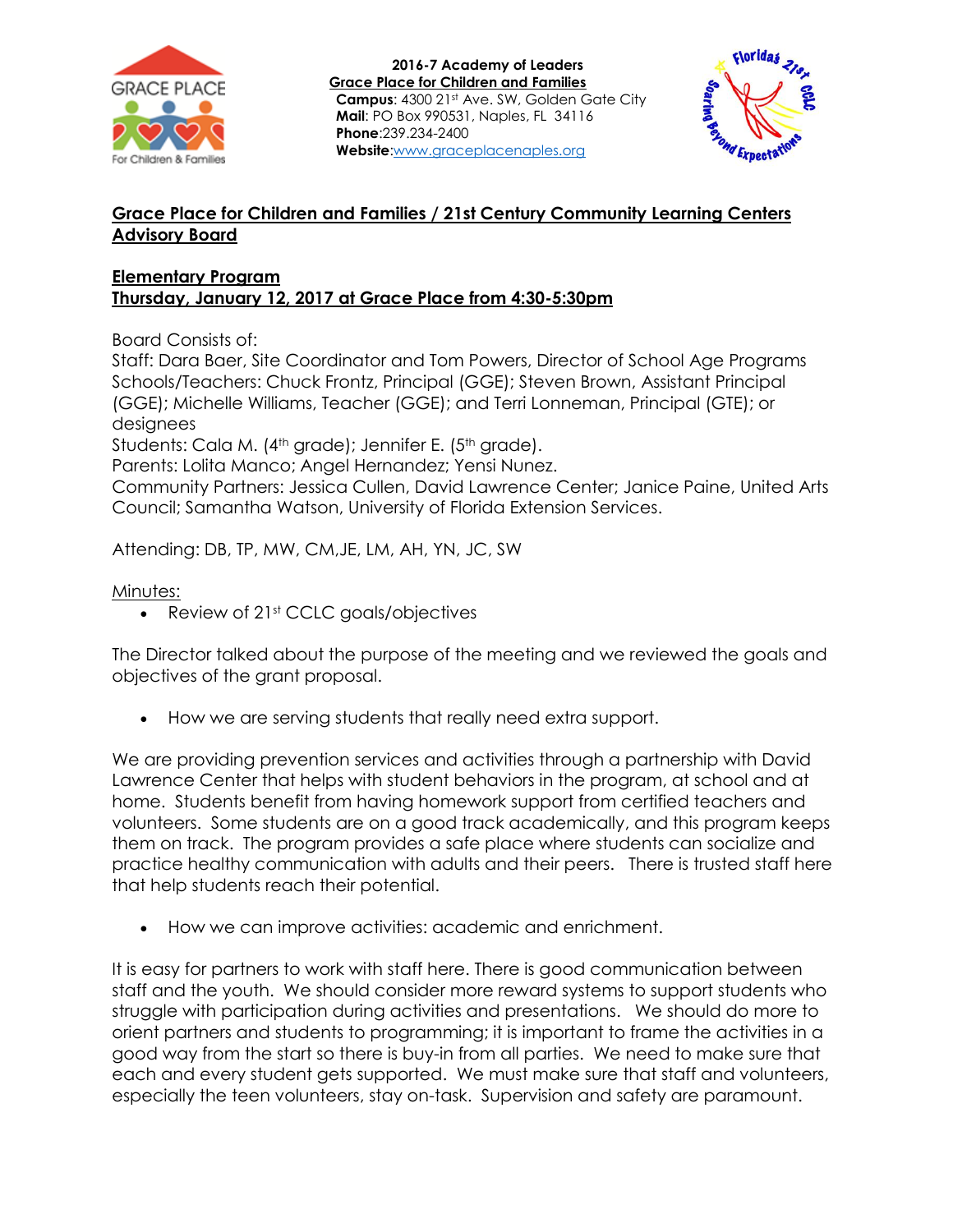



## **Grace Place for Children and Families / 21st Century Community Learning Centers Advisory Board**

## **Elementary Program Thursday, January 12, 2017 at Grace Place from 4:30-5:30pm**

Board Consists of:

Staff: Dara Baer, Site Coordinator and Tom Powers, Director of School Age Programs Schools/Teachers: Chuck Frontz, Principal (GGE); Steven Brown, Assistant Principal (GGE); Michelle Williams, Teacher (GGE); and Terri Lonneman, Principal (GTE); or designees

Students: Cala M. (4<sup>th</sup> grade); Jennifer E. (5<sup>th</sup> grade).

Parents: Lolita Manco; Angel Hernandez; Yensi Nunez.

Community Partners: Jessica Cullen, David Lawrence Center; Janice Paine, United Arts Council; Samantha Watson, University of Florida Extension Services.

Attending: DB, TP, MW, CM,JE, LM, AH, YN, JC, SW

## Minutes:

• Review of 21st CCLC goals/objectives

The Director talked about the purpose of the meeting and we reviewed the goals and objectives of the grant proposal.

How we are serving students that really need extra support.

We are providing prevention services and activities through a partnership with David Lawrence Center that helps with student behaviors in the program, at school and at home. Students benefit from having homework support from certified teachers and volunteers. Some students are on a good track academically, and this program keeps them on track. The program provides a safe place where students can socialize and practice healthy communication with adults and their peers. There is trusted staff here that help students reach their potential.

How we can improve activities: academic and enrichment.

It is easy for partners to work with staff here. There is good communication between staff and the youth. We should consider more reward systems to support students who struggle with participation during activities and presentations. We should do more to orient partners and students to programming; it is important to frame the activities in a good way from the start so there is buy-in from all parties. We need to make sure that each and every student gets supported. We must make sure that staff and volunteers, especially the teen volunteers, stay on-task. Supervision and safety are paramount.